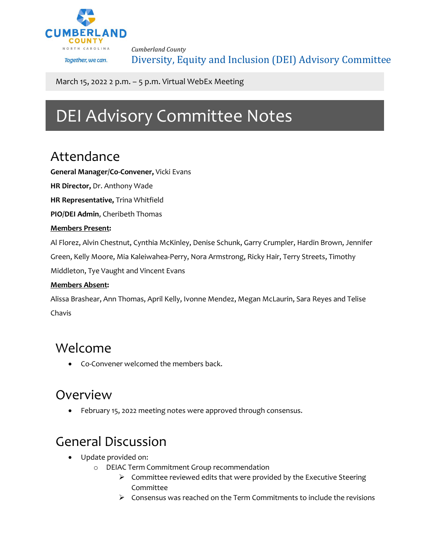

*Cumberland County* Diversity, Equity and Inclusion (DEI) Advisory Committee

March 15, 2022 2 p.m. – 5 p.m. Virtual WebEx Meeting

# DEI Advisory Committee Notes

### Attendance

**General Manager/Co-Convener,** Vicki Evans

**HR Director,** Dr. Anthony Wade

**HR Representative,** Trina Whitfield

**PIO/DEI Admin**, Cheribeth Thomas

#### **Members Present:**

Al Florez, Alvin Chestnut, Cynthia McKinley, Denise Schunk, Garry Crumpler, Hardin Brown, Jennifer

Green, Kelly Moore, Mia Kaleiwahea-Perry, Nora Armstrong, Ricky Hair, Terry Streets, Timothy

Middleton, Tye Vaught and Vincent Evans

#### **Members Absent:**

Alissa Brashear, Ann Thomas, April Kelly, Ivonne Mendez, Megan McLaurin, Sara Reyes and Telise Chavis

#### Welcome

• Co-Convener welcomed the members back.

### Overview

• February 15, 2022 meeting notes were approved through consensus.

# General Discussion

- Update provided on:
	- o DEIAC Term Commitment Group recommendation
		- $\triangleright$  Committee reviewed edits that were provided by the Executive Steering Committee
		- $\triangleright$  Consensus was reached on the Term Commitments to include the revisions